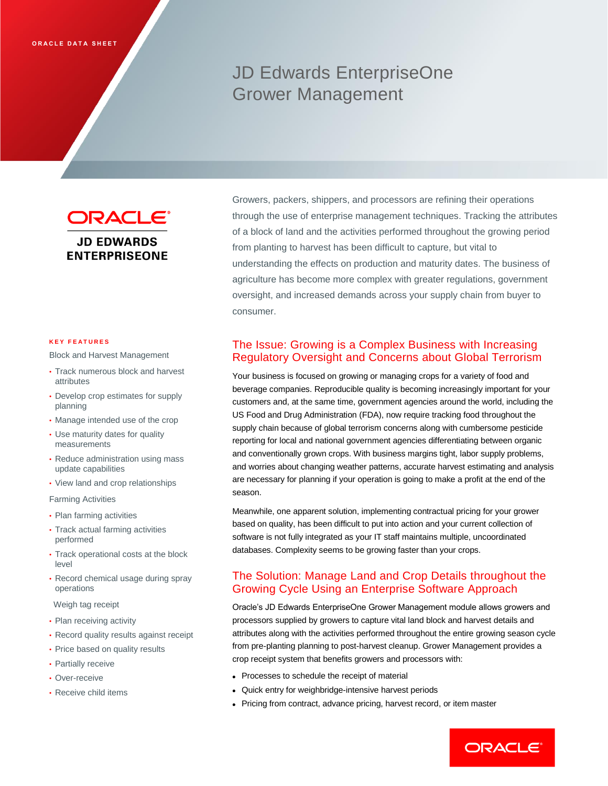# JD Edwards EnterpriseOne Grower Management

ORACLE® **JD EDWARDS ENTERPRISEONE** 

#### **K E Y F E A T U R E S**

Block and Harvest Management

- Track numerous block and harvest attributes
- Develop crop estimates for supply planning
- Manage intended use of the crop
- Use maturity dates for quality measurements
- Reduce administration using mass update capabilities
- View land and crop relationships

Farming Activities

- Plan farming activities
- Track actual farming activities performed
- Track operational costs at the block level
- Record chemical usage during spray operations
- Weigh tag receipt
- Plan receiving activity
- Record quality results against receipt
- Price based on quality results
- Partially receive
- Over-receive
- Receive child items

Growers, packers, shippers, and processors are refining their operations through the use of enterprise management techniques. Tracking the attributes of a block of land and the activities performed throughout the growing period from planting to harvest has been difficult to capture, but vital to understanding the effects on production and maturity dates. The business of agriculture has become more complex with greater regulations, government oversight, and increased demands across your supply chain from buyer to consumer.

# The Issue: Growing is a Complex Business with Increasing Regulatory Oversight and Concerns about Global Terrorism

Your business is focused on growing or managing crops for a variety of food and beverage companies. Reproducible quality is becoming increasingly important for your customers and, at the same time, government agencies around the world, including the US Food and Drug Administration (FDA), now require tracking food throughout the supply chain because of global terrorism concerns along with cumbersome pesticide reporting for local and national government agencies differentiating between organic and conventionally grown crops. With business margins tight, labor supply problems, and worries about changing weather patterns, accurate harvest estimating and analysis are necessary for planning if your operation is going to make a profit at the end of the season.

Meanwhile, one apparent solution, implementing contractual pricing for your grower based on quality, has been difficult to put into action and your current collection of software is not fully integrated as your IT staff maintains multiple, uncoordinated databases. Complexity seems to be growing faster than your crops.

## The Solution: Manage Land and Crop Details throughout the Growing Cycle Using an Enterprise Software Approach

Oracle's JD Edwards EnterpriseOne Grower Management module allows growers and processors supplied by growers to capture vital land block and harvest details and attributes along with the activities performed throughout the entire growing season cycle from pre-planting planning to post-harvest cleanup. Grower Management provides a crop receipt system that benefits growers and processors with:

- Processes to schedule the receipt of material
- Quick entry for weighbridge-intensive harvest periods
- Pricing from contract, advance pricing, harvest record, or item master

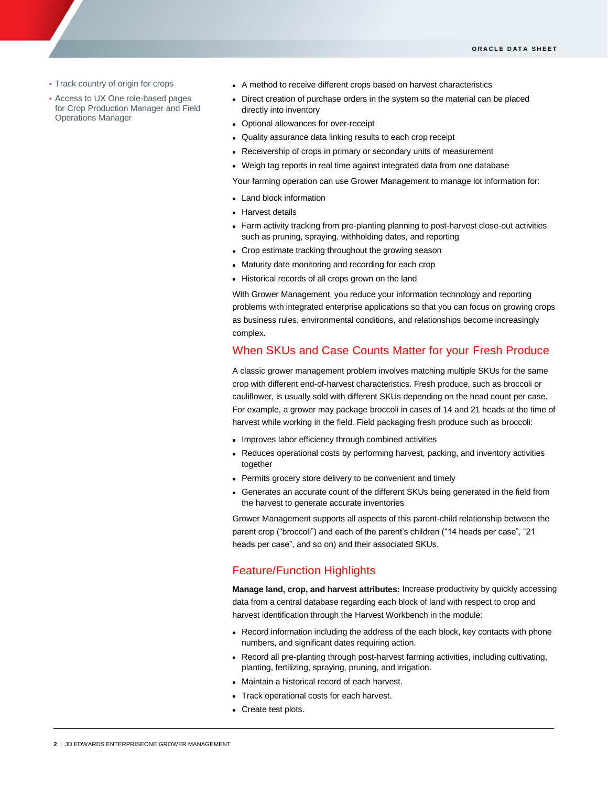• Track country of origin for crops

ī

- Access to UX One role-based pages for Crop Production Manager and Field Operations Manager
- A method to receive different crops based on harvest characteristics
- Direct creation of purchase orders in the system so the material can be placed directly into inventory
- Optional allowances for over-receipt
- Quality assurance data linking results to each crop receipt
- Receivership of crops in primary or secondary units of measurement
- Weigh tag reports in real time against integrated data from one database

Your farming operation can use Grower Management to manage lot information for:

- Land block information
- Harvest details
- Farm activity tracking from pre-planting planning to post-harvest close-out activities such as pruning, spraying, withholding dates, and reporting
- Crop estimate tracking throughout the growing season
- Maturity date monitoring and recording for each crop
- Historical records of all crops grown on the land

With Grower Management, you reduce your information technology and reporting problems with integrated enterprise applications so that you can focus on growing crops as business rules, environmental conditions, and relationships become increasingly complex.

#### When SKUs and Case Counts Matter for your Fresh Produce

A classic grower management problem involves matching multiple SKUs for the same crop with different end-of-harvest characteristics. Fresh produce, such as broccoli or cauliflower, is usually sold with different SKUs depending on the head count per case. For example, a grower may package broccoli in cases of 14 and 21 heads at the time of harvest while working in the field. Field packaging fresh produce such as broccoli:

- Improves labor efficiency through combined activities
- Reduces operational costs by performing harvest, packing, and inventory activities together
- Permits grocery store delivery to be convenient and timely
- Generates an accurate count of the different SKUs being generated in the field from the harvest to generate accurate inventories

Grower Management supports all aspects of this parent-child relationship between the parent crop ("broccoli") and each of the parent's children ("14 heads per case", "21 heads per case", and so on) and their associated SKUs.

## Feature/Function Highlights

**Manage land, crop, and harvest attributes:** Increase productivity by quickly accessing data from a central database regarding each block of land with respect to crop and harvest identification through the Harvest Workbench in the module:

- Record information including the address of the each block, key contacts with phone numbers, and significant dates requiring action.
- Record all pre-planting through post-harvest farming activities, including cultivating, planting, fertilizing, spraying, pruning, and irrigation.
- Maintain a historical record of each harvest.
- Track operational costs for each harvest.
- Create test plots.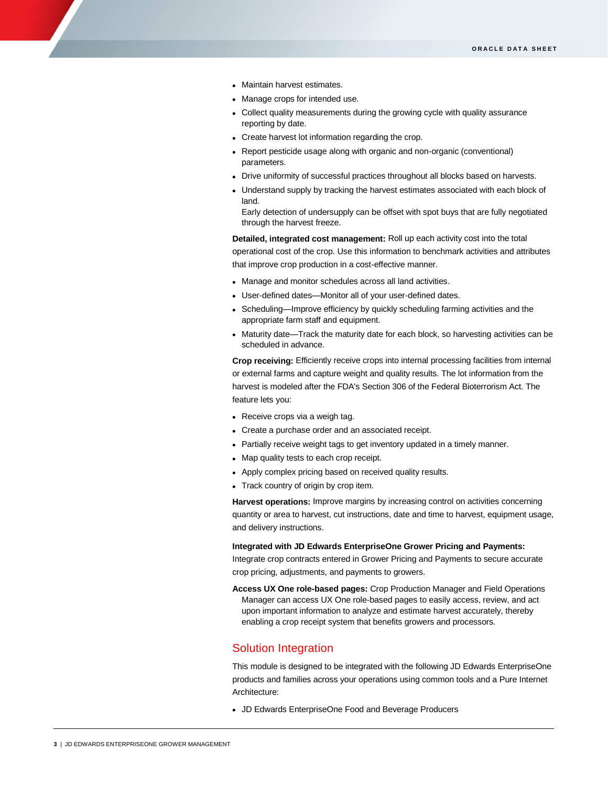- Maintain harvest estimates.
- Manage crops for intended use.
- Collect quality measurements during the growing cycle with quality assurance reporting by date.
- Create harvest lot information regarding the crop.
- Report pesticide usage along with organic and non-organic (conventional) parameters.
- Drive uniformity of successful practices throughout all blocks based on harvests.
- Understand supply by tracking the harvest estimates associated with each block of land.

Early detection of undersupply can be offset with spot buys that are fully negotiated through the harvest freeze.

**Detailed, integrated cost management:** Roll up each activity cost into the total operational cost of the crop. Use this information to benchmark activities and attributes that improve crop production in a cost-effective manner.

- Manage and monitor schedules across all land activities.
- User-defined dates—Monitor all of your user-defined dates.
- Scheduling—Improve efficiency by quickly scheduling farming activities and the appropriate farm staff and equipment.
- Maturity date—Track the maturity date for each block, so harvesting activities can be scheduled in advance.

**Crop receiving:** Efficiently receive crops into internal processing facilities from internal or external farms and capture weight and quality results. The lot information from the harvest is modeled after the FDA's Section 306 of the Federal Bioterrorism Act. The feature lets you:

- Receive crops via a weigh tag.
- Create a purchase order and an associated receipt.
- Partially receive weight tags to get inventory updated in a timely manner.
- Map quality tests to each crop receipt.
- Apply complex pricing based on received quality results.
- Track country of origin by crop item.

**Harvest operations:** Improve margins by increasing control on activities concerning quantity or area to harvest, cut instructions, date and time to harvest, equipment usage, and delivery instructions.

**Integrated with JD Edwards EnterpriseOne Grower Pricing and Payments:**

Integrate crop contracts entered in Grower Pricing and Payments to secure accurate crop pricing, adjustments, and payments to growers.

**Access UX One role-based pages:** Crop Production Manager and Field Operations Manager can access UX One role-based pages to easily access, review, and act upon important information to analyze and estimate harvest accurately, thereby enabling a crop receipt system that benefits growers and processors.

### Solution Integration

This module is designed to be integrated with the following JD Edwards EnterpriseOne products and families across your operations using common tools and a Pure Internet Architecture:

JD Edwards EnterpriseOne Food and Beverage Producers

ī